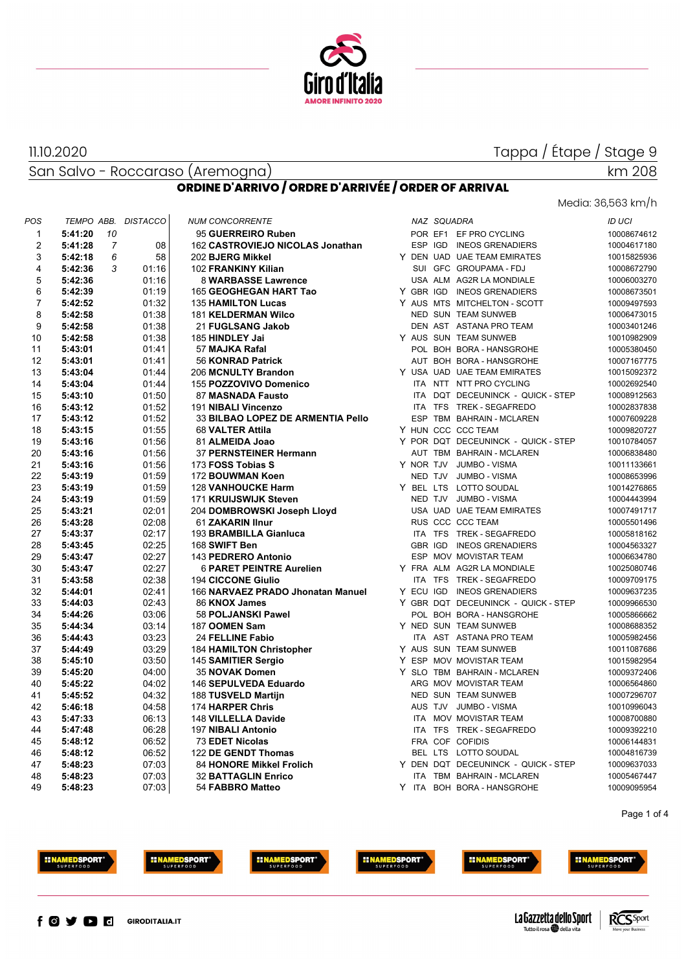

Media: 36,563 km/h

km 208

San Salvo - Roccaraso (Aremogna)

11.10.2020

#### **ORDINE D'ARRIVO / ORDRE D'ARRIVÉE / ORDER OF ARRIVAL**

| 5:41:20<br>10<br>95 GUERREIRO Ruben<br>POR EF1 EF PRO CYCLING<br>1<br>$\overline{2}$<br>$\overline{7}$<br>5:41:28<br>08<br>162 CASTROVIEJO NICOLAS Jonathan<br>ESP IGD INEOS GRENADIERS<br>6<br>3<br>5:42:18<br>58<br>202 BJERG Mikkel<br>Y DEN UAD UAE TEAM EMIRATES<br>$\overline{4}$<br>5:42:36<br>3<br>01:16<br>SUI GFC GROUPAMA - FDJ<br>102 FRANKINY Kilian<br>5<br>5:42:36<br>01:16<br>USA ALM AG2R LA MONDIALE<br>8 WARBASSE Lawrence<br>6<br>01:19<br>Y GBR IGD INEOS GRENADIERS<br>5:42:39<br>165 GEOGHEGAN HART Tao<br>7<br>01:32<br>5:42:52<br>135 HAMILTON Lucas<br>Y AUS MTS MITCHELTON - SCOTT<br>8<br>01:38<br>5:42:58<br><b>181 KELDERMAN Wilco</b><br>NED SUN TEAM SUNWEB<br>9<br>01:38<br>5:42:58<br>21 FUGLSANG Jakob<br>DEN AST ASTANA PRO TEAM<br>10<br>5:42:58<br>01:38<br>Y AUS SUN TEAM SUNWEB<br>185 HINDLEY Jai<br>POL BOH BORA - HANSGROHE<br>11<br>5:43:01<br>01:41<br>57 MAJKA Rafal<br>12<br>01:41<br>5:43:01<br>56 KONRAD Patrick<br>AUT BOH BORA - HANSGROHE<br>13<br>01:44<br>206 MCNULTY Brandon<br>Y USA UAD UAE TEAM EMIRATES<br>5:43:04<br>14<br>01:44<br>155 POZZOVIVO Domenico<br>ITA NTT NTT PRO CYCLING<br>5:43:04<br>15<br>01:50<br>87 MASNADA Fausto<br>ITA DQT DECEUNINCK - QUICK - STEP<br>5:43:10<br>01:52<br>16<br>5:43:12<br>191 NIBALI Vincenzo<br>ITA TFS TREK - SEGAFREDO<br>01:52<br>33 BILBAO LOPEZ DE ARMENTIA Pello<br>ESP TBM BAHRAIN - MCLAREN<br>17<br>5:43:12<br>01:55<br>Y HUN CCC CCC TEAM<br>18<br>5:43:15<br>68 VALTER Attila<br>19<br>01:56<br>Y POR DQT DECEUNINCK - QUICK - STEP<br>5:43:16<br>81 ALMEIDA Joao<br>20<br>01:56<br>37 PERNSTEINER Hermann<br>AUT TBM BAHRAIN - MCLAREN<br>5:43:16<br>01:56<br>Y NOR TJV JUMBO - VISMA<br>21<br>5:43:16<br>173 FOSS Tobias S<br>22<br>5:43:19<br>01:59<br>172 BOUWMAN Koen<br>NED TJV JUMBO - VISMA<br>23<br>5:43:19<br>01:59<br><b>128 VANHOUCKE Harm</b><br>Y BEL LTS LOTTO SOUDAL<br>01:59<br>24<br>5:43:19<br>171 KRUIJSWIJK Steven<br>NED TJV JUMBO - VISMA<br>25<br>02:01<br>USA UAD UAE TEAM EMIRATES<br>5:43:21<br>204 DOMBROWSKI Joseph Lloyd | 10008674612<br>10004617180<br>10015825936<br>10008672790<br>10006003270<br>10008673501<br>10009497593 |
|------------------------------------------------------------------------------------------------------------------------------------------------------------------------------------------------------------------------------------------------------------------------------------------------------------------------------------------------------------------------------------------------------------------------------------------------------------------------------------------------------------------------------------------------------------------------------------------------------------------------------------------------------------------------------------------------------------------------------------------------------------------------------------------------------------------------------------------------------------------------------------------------------------------------------------------------------------------------------------------------------------------------------------------------------------------------------------------------------------------------------------------------------------------------------------------------------------------------------------------------------------------------------------------------------------------------------------------------------------------------------------------------------------------------------------------------------------------------------------------------------------------------------------------------------------------------------------------------------------------------------------------------------------------------------------------------------------------------------------------------------------------------------------------------------------------------------------------------------------------------------------------------------------------------------------------------------------------------------------------------------------------------------------------------------------------------|-------------------------------------------------------------------------------------------------------|
|                                                                                                                                                                                                                                                                                                                                                                                                                                                                                                                                                                                                                                                                                                                                                                                                                                                                                                                                                                                                                                                                                                                                                                                                                                                                                                                                                                                                                                                                                                                                                                                                                                                                                                                                                                                                                                                                                                                                                                                                                                                                        |                                                                                                       |
|                                                                                                                                                                                                                                                                                                                                                                                                                                                                                                                                                                                                                                                                                                                                                                                                                                                                                                                                                                                                                                                                                                                                                                                                                                                                                                                                                                                                                                                                                                                                                                                                                                                                                                                                                                                                                                                                                                                                                                                                                                                                        |                                                                                                       |
|                                                                                                                                                                                                                                                                                                                                                                                                                                                                                                                                                                                                                                                                                                                                                                                                                                                                                                                                                                                                                                                                                                                                                                                                                                                                                                                                                                                                                                                                                                                                                                                                                                                                                                                                                                                                                                                                                                                                                                                                                                                                        |                                                                                                       |
|                                                                                                                                                                                                                                                                                                                                                                                                                                                                                                                                                                                                                                                                                                                                                                                                                                                                                                                                                                                                                                                                                                                                                                                                                                                                                                                                                                                                                                                                                                                                                                                                                                                                                                                                                                                                                                                                                                                                                                                                                                                                        |                                                                                                       |
|                                                                                                                                                                                                                                                                                                                                                                                                                                                                                                                                                                                                                                                                                                                                                                                                                                                                                                                                                                                                                                                                                                                                                                                                                                                                                                                                                                                                                                                                                                                                                                                                                                                                                                                                                                                                                                                                                                                                                                                                                                                                        |                                                                                                       |
|                                                                                                                                                                                                                                                                                                                                                                                                                                                                                                                                                                                                                                                                                                                                                                                                                                                                                                                                                                                                                                                                                                                                                                                                                                                                                                                                                                                                                                                                                                                                                                                                                                                                                                                                                                                                                                                                                                                                                                                                                                                                        |                                                                                                       |
|                                                                                                                                                                                                                                                                                                                                                                                                                                                                                                                                                                                                                                                                                                                                                                                                                                                                                                                                                                                                                                                                                                                                                                                                                                                                                                                                                                                                                                                                                                                                                                                                                                                                                                                                                                                                                                                                                                                                                                                                                                                                        |                                                                                                       |
|                                                                                                                                                                                                                                                                                                                                                                                                                                                                                                                                                                                                                                                                                                                                                                                                                                                                                                                                                                                                                                                                                                                                                                                                                                                                                                                                                                                                                                                                                                                                                                                                                                                                                                                                                                                                                                                                                                                                                                                                                                                                        | 10006473015                                                                                           |
|                                                                                                                                                                                                                                                                                                                                                                                                                                                                                                                                                                                                                                                                                                                                                                                                                                                                                                                                                                                                                                                                                                                                                                                                                                                                                                                                                                                                                                                                                                                                                                                                                                                                                                                                                                                                                                                                                                                                                                                                                                                                        | 10003401246                                                                                           |
|                                                                                                                                                                                                                                                                                                                                                                                                                                                                                                                                                                                                                                                                                                                                                                                                                                                                                                                                                                                                                                                                                                                                                                                                                                                                                                                                                                                                                                                                                                                                                                                                                                                                                                                                                                                                                                                                                                                                                                                                                                                                        | 10010982909                                                                                           |
|                                                                                                                                                                                                                                                                                                                                                                                                                                                                                                                                                                                                                                                                                                                                                                                                                                                                                                                                                                                                                                                                                                                                                                                                                                                                                                                                                                                                                                                                                                                                                                                                                                                                                                                                                                                                                                                                                                                                                                                                                                                                        | 10005380450                                                                                           |
|                                                                                                                                                                                                                                                                                                                                                                                                                                                                                                                                                                                                                                                                                                                                                                                                                                                                                                                                                                                                                                                                                                                                                                                                                                                                                                                                                                                                                                                                                                                                                                                                                                                                                                                                                                                                                                                                                                                                                                                                                                                                        | 10007167775                                                                                           |
|                                                                                                                                                                                                                                                                                                                                                                                                                                                                                                                                                                                                                                                                                                                                                                                                                                                                                                                                                                                                                                                                                                                                                                                                                                                                                                                                                                                                                                                                                                                                                                                                                                                                                                                                                                                                                                                                                                                                                                                                                                                                        | 10015092372                                                                                           |
|                                                                                                                                                                                                                                                                                                                                                                                                                                                                                                                                                                                                                                                                                                                                                                                                                                                                                                                                                                                                                                                                                                                                                                                                                                                                                                                                                                                                                                                                                                                                                                                                                                                                                                                                                                                                                                                                                                                                                                                                                                                                        | 10002692540                                                                                           |
|                                                                                                                                                                                                                                                                                                                                                                                                                                                                                                                                                                                                                                                                                                                                                                                                                                                                                                                                                                                                                                                                                                                                                                                                                                                                                                                                                                                                                                                                                                                                                                                                                                                                                                                                                                                                                                                                                                                                                                                                                                                                        | 10008912563                                                                                           |
|                                                                                                                                                                                                                                                                                                                                                                                                                                                                                                                                                                                                                                                                                                                                                                                                                                                                                                                                                                                                                                                                                                                                                                                                                                                                                                                                                                                                                                                                                                                                                                                                                                                                                                                                                                                                                                                                                                                                                                                                                                                                        | 10002837838                                                                                           |
|                                                                                                                                                                                                                                                                                                                                                                                                                                                                                                                                                                                                                                                                                                                                                                                                                                                                                                                                                                                                                                                                                                                                                                                                                                                                                                                                                                                                                                                                                                                                                                                                                                                                                                                                                                                                                                                                                                                                                                                                                                                                        | 10007609228                                                                                           |
|                                                                                                                                                                                                                                                                                                                                                                                                                                                                                                                                                                                                                                                                                                                                                                                                                                                                                                                                                                                                                                                                                                                                                                                                                                                                                                                                                                                                                                                                                                                                                                                                                                                                                                                                                                                                                                                                                                                                                                                                                                                                        | 10009820727                                                                                           |
|                                                                                                                                                                                                                                                                                                                                                                                                                                                                                                                                                                                                                                                                                                                                                                                                                                                                                                                                                                                                                                                                                                                                                                                                                                                                                                                                                                                                                                                                                                                                                                                                                                                                                                                                                                                                                                                                                                                                                                                                                                                                        | 10010784057                                                                                           |
|                                                                                                                                                                                                                                                                                                                                                                                                                                                                                                                                                                                                                                                                                                                                                                                                                                                                                                                                                                                                                                                                                                                                                                                                                                                                                                                                                                                                                                                                                                                                                                                                                                                                                                                                                                                                                                                                                                                                                                                                                                                                        | 10006838480                                                                                           |
|                                                                                                                                                                                                                                                                                                                                                                                                                                                                                                                                                                                                                                                                                                                                                                                                                                                                                                                                                                                                                                                                                                                                                                                                                                                                                                                                                                                                                                                                                                                                                                                                                                                                                                                                                                                                                                                                                                                                                                                                                                                                        | 10011133661                                                                                           |
|                                                                                                                                                                                                                                                                                                                                                                                                                                                                                                                                                                                                                                                                                                                                                                                                                                                                                                                                                                                                                                                                                                                                                                                                                                                                                                                                                                                                                                                                                                                                                                                                                                                                                                                                                                                                                                                                                                                                                                                                                                                                        | 10008653996                                                                                           |
|                                                                                                                                                                                                                                                                                                                                                                                                                                                                                                                                                                                                                                                                                                                                                                                                                                                                                                                                                                                                                                                                                                                                                                                                                                                                                                                                                                                                                                                                                                                                                                                                                                                                                                                                                                                                                                                                                                                                                                                                                                                                        | 10014276865                                                                                           |
|                                                                                                                                                                                                                                                                                                                                                                                                                                                                                                                                                                                                                                                                                                                                                                                                                                                                                                                                                                                                                                                                                                                                                                                                                                                                                                                                                                                                                                                                                                                                                                                                                                                                                                                                                                                                                                                                                                                                                                                                                                                                        | 10004443994                                                                                           |
|                                                                                                                                                                                                                                                                                                                                                                                                                                                                                                                                                                                                                                                                                                                                                                                                                                                                                                                                                                                                                                                                                                                                                                                                                                                                                                                                                                                                                                                                                                                                                                                                                                                                                                                                                                                                                                                                                                                                                                                                                                                                        | 10007491717                                                                                           |
| 02:08<br>RUS CCC CCC TEAM<br>26<br>5:43:28<br>61 ZAKARIN IInur                                                                                                                                                                                                                                                                                                                                                                                                                                                                                                                                                                                                                                                                                                                                                                                                                                                                                                                                                                                                                                                                                                                                                                                                                                                                                                                                                                                                                                                                                                                                                                                                                                                                                                                                                                                                                                                                                                                                                                                                         | 10005501496                                                                                           |
| 27<br>02:17<br>ITA TFS TREK - SEGAFREDO<br>5:43:37<br>193 BRAMBILLA Gianluca                                                                                                                                                                                                                                                                                                                                                                                                                                                                                                                                                                                                                                                                                                                                                                                                                                                                                                                                                                                                                                                                                                                                                                                                                                                                                                                                                                                                                                                                                                                                                                                                                                                                                                                                                                                                                                                                                                                                                                                           | 10005818162                                                                                           |
| 02:25<br>28<br>168 SWIFT Ben<br>GBR IGD<br><b>INEOS GRENADIERS</b><br>5:43:45                                                                                                                                                                                                                                                                                                                                                                                                                                                                                                                                                                                                                                                                                                                                                                                                                                                                                                                                                                                                                                                                                                                                                                                                                                                                                                                                                                                                                                                                                                                                                                                                                                                                                                                                                                                                                                                                                                                                                                                          | 10004563327                                                                                           |
| 29<br>02:27<br>143 PEDRERO Antonio<br>ESP MOV MOVISTAR TEAM<br>5:43:47                                                                                                                                                                                                                                                                                                                                                                                                                                                                                                                                                                                                                                                                                                                                                                                                                                                                                                                                                                                                                                                                                                                                                                                                                                                                                                                                                                                                                                                                                                                                                                                                                                                                                                                                                                                                                                                                                                                                                                                                 | 10006634780                                                                                           |
| 02:27<br>30<br><b>6 PARET PEINTRE Aurelien</b><br>Y FRA ALM AG2R LA MONDIALE<br>5:43:47                                                                                                                                                                                                                                                                                                                                                                                                                                                                                                                                                                                                                                                                                                                                                                                                                                                                                                                                                                                                                                                                                                                                                                                                                                                                                                                                                                                                                                                                                                                                                                                                                                                                                                                                                                                                                                                                                                                                                                                | 10025080746                                                                                           |
| 02:38<br><b>194 CICCONE Giulio</b><br>ITA TFS TREK - SEGAFREDO<br>31<br>5:43:58                                                                                                                                                                                                                                                                                                                                                                                                                                                                                                                                                                                                                                                                                                                                                                                                                                                                                                                                                                                                                                                                                                                                                                                                                                                                                                                                                                                                                                                                                                                                                                                                                                                                                                                                                                                                                                                                                                                                                                                        | 10009709175                                                                                           |
| 32<br>02:41<br>166 NARVAEZ PRADO Jhonatan Manuel<br>Y ECU IGD INEOS GRENADIERS<br>5:44:01                                                                                                                                                                                                                                                                                                                                                                                                                                                                                                                                                                                                                                                                                                                                                                                                                                                                                                                                                                                                                                                                                                                                                                                                                                                                                                                                                                                                                                                                                                                                                                                                                                                                                                                                                                                                                                                                                                                                                                              | 10009637235                                                                                           |
| 33<br>02:43<br>Y GBR DQT DECEUNINCK - QUICK - STEP<br>5:44:03<br>86 KNOX James                                                                                                                                                                                                                                                                                                                                                                                                                                                                                                                                                                                                                                                                                                                                                                                                                                                                                                                                                                                                                                                                                                                                                                                                                                                                                                                                                                                                                                                                                                                                                                                                                                                                                                                                                                                                                                                                                                                                                                                         | 10009966530                                                                                           |
| 03:06<br>POL BOH BORA - HANSGROHE<br>34<br>5:44:26<br>58 POLJANSKI Pawel                                                                                                                                                                                                                                                                                                                                                                                                                                                                                                                                                                                                                                                                                                                                                                                                                                                                                                                                                                                                                                                                                                                                                                                                                                                                                                                                                                                                                                                                                                                                                                                                                                                                                                                                                                                                                                                                                                                                                                                               | 10005866662                                                                                           |
| 35<br>Y NED SUN TEAM SUNWEB<br>5:44:34<br>03:14<br>187 OOMEN Sam                                                                                                                                                                                                                                                                                                                                                                                                                                                                                                                                                                                                                                                                                                                                                                                                                                                                                                                                                                                                                                                                                                                                                                                                                                                                                                                                                                                                                                                                                                                                                                                                                                                                                                                                                                                                                                                                                                                                                                                                       | 10008688352                                                                                           |
| 03:23<br>36<br>24 FELLINE Fabio<br>ITA AST ASTANA PRO TEAM<br>5:44:43                                                                                                                                                                                                                                                                                                                                                                                                                                                                                                                                                                                                                                                                                                                                                                                                                                                                                                                                                                                                                                                                                                                                                                                                                                                                                                                                                                                                                                                                                                                                                                                                                                                                                                                                                                                                                                                                                                                                                                                                  | 10005982456                                                                                           |
| Y AUS SUN TEAM SUNWEB<br>37<br>03:29<br>5:44:49<br><b>184 HAMILTON Christopher</b>                                                                                                                                                                                                                                                                                                                                                                                                                                                                                                                                                                                                                                                                                                                                                                                                                                                                                                                                                                                                                                                                                                                                                                                                                                                                                                                                                                                                                                                                                                                                                                                                                                                                                                                                                                                                                                                                                                                                                                                     | 10011087686                                                                                           |
| 38<br>03:50<br>Y ESP MOV MOVISTAR TEAM<br>5:45:10<br>145 SAMITIER Sergio                                                                                                                                                                                                                                                                                                                                                                                                                                                                                                                                                                                                                                                                                                                                                                                                                                                                                                                                                                                                                                                                                                                                                                                                                                                                                                                                                                                                                                                                                                                                                                                                                                                                                                                                                                                                                                                                                                                                                                                               | 10015982954                                                                                           |
| 39<br>04:00<br>Y SLO TBM BAHRAIN - MCLAREN<br>5:45:20<br>35 NOVAK Domen                                                                                                                                                                                                                                                                                                                                                                                                                                                                                                                                                                                                                                                                                                                                                                                                                                                                                                                                                                                                                                                                                                                                                                                                                                                                                                                                                                                                                                                                                                                                                                                                                                                                                                                                                                                                                                                                                                                                                                                                | 10009372406                                                                                           |
| 40<br>04:02<br>ARG MOV MOVISTAR TEAM<br>5:45:22<br>146 SEPULVEDA Eduardo                                                                                                                                                                                                                                                                                                                                                                                                                                                                                                                                                                                                                                                                                                                                                                                                                                                                                                                                                                                                                                                                                                                                                                                                                                                                                                                                                                                                                                                                                                                                                                                                                                                                                                                                                                                                                                                                                                                                                                                               | 10006564860                                                                                           |
| 04:32<br>41<br>NED SUN TEAM SUNWEB<br>5:45:52<br>188 TUSVELD Martijn                                                                                                                                                                                                                                                                                                                                                                                                                                                                                                                                                                                                                                                                                                                                                                                                                                                                                                                                                                                                                                                                                                                                                                                                                                                                                                                                                                                                                                                                                                                                                                                                                                                                                                                                                                                                                                                                                                                                                                                                   | 10007296707                                                                                           |
| 42<br>5:46:18<br>04:58<br>174 HARPER Chris<br>AUS TJV JUMBO - VISMA                                                                                                                                                                                                                                                                                                                                                                                                                                                                                                                                                                                                                                                                                                                                                                                                                                                                                                                                                                                                                                                                                                                                                                                                                                                                                                                                                                                                                                                                                                                                                                                                                                                                                                                                                                                                                                                                                                                                                                                                    | 10010996043                                                                                           |
| 43<br>06:13<br>148 VILLELLA Davide<br>ITA MOV MOVISTAR TEAM<br>5:47:33                                                                                                                                                                                                                                                                                                                                                                                                                                                                                                                                                                                                                                                                                                                                                                                                                                                                                                                                                                                                                                                                                                                                                                                                                                                                                                                                                                                                                                                                                                                                                                                                                                                                                                                                                                                                                                                                                                                                                                                                 | 10008700880                                                                                           |
| 06:28<br>ITA TFS TREK - SEGAFREDO<br>44<br>5:47:48<br>197 NIBALI Antonio                                                                                                                                                                                                                                                                                                                                                                                                                                                                                                                                                                                                                                                                                                                                                                                                                                                                                                                                                                                                                                                                                                                                                                                                                                                                                                                                                                                                                                                                                                                                                                                                                                                                                                                                                                                                                                                                                                                                                                                               | 10009392210                                                                                           |
| 06:52<br>FRA COF COFIDIS<br>45<br>5:48:12<br><b>73 EDET Nicolas</b>                                                                                                                                                                                                                                                                                                                                                                                                                                                                                                                                                                                                                                                                                                                                                                                                                                                                                                                                                                                                                                                                                                                                                                                                                                                                                                                                                                                                                                                                                                                                                                                                                                                                                                                                                                                                                                                                                                                                                                                                    | 10006144831                                                                                           |
| 06:52<br>BEL LTS LOTTO SOUDAL<br>46<br>5:48:12<br>122 DE GENDT Thomas                                                                                                                                                                                                                                                                                                                                                                                                                                                                                                                                                                                                                                                                                                                                                                                                                                                                                                                                                                                                                                                                                                                                                                                                                                                                                                                                                                                                                                                                                                                                                                                                                                                                                                                                                                                                                                                                                                                                                                                                  | 10004816739                                                                                           |
| 07:03<br>84 HONORE Mikkel Frolich<br>Y DEN DQT DECEUNINCK - QUICK - STEP<br>47<br>5:48:23                                                                                                                                                                                                                                                                                                                                                                                                                                                                                                                                                                                                                                                                                                                                                                                                                                                                                                                                                                                                                                                                                                                                                                                                                                                                                                                                                                                                                                                                                                                                                                                                                                                                                                                                                                                                                                                                                                                                                                              | 10009637033                                                                                           |
| 48<br>5:48:23<br>07:03<br><b>32 BATTAGLIN Enrico</b><br>ITA TBM BAHRAIN - MCLAREN                                                                                                                                                                                                                                                                                                                                                                                                                                                                                                                                                                                                                                                                                                                                                                                                                                                                                                                                                                                                                                                                                                                                                                                                                                                                                                                                                                                                                                                                                                                                                                                                                                                                                                                                                                                                                                                                                                                                                                                      |                                                                                                       |
| 49<br>07:03<br>Y ITA BOH BORA - HANSGROHE<br>5:48:23<br>54 FABBRO Matteo                                                                                                                                                                                                                                                                                                                                                                                                                                                                                                                                                                                                                                                                                                                                                                                                                                                                                                                                                                                                                                                                                                                                                                                                                                                                                                                                                                                                                                                                                                                                                                                                                                                                                                                                                                                                                                                                                                                                                                                               | 10005467447                                                                                           |

Page 1 of 4







**HINAMEDSPORT** 





**HINAMEDSPORT** 



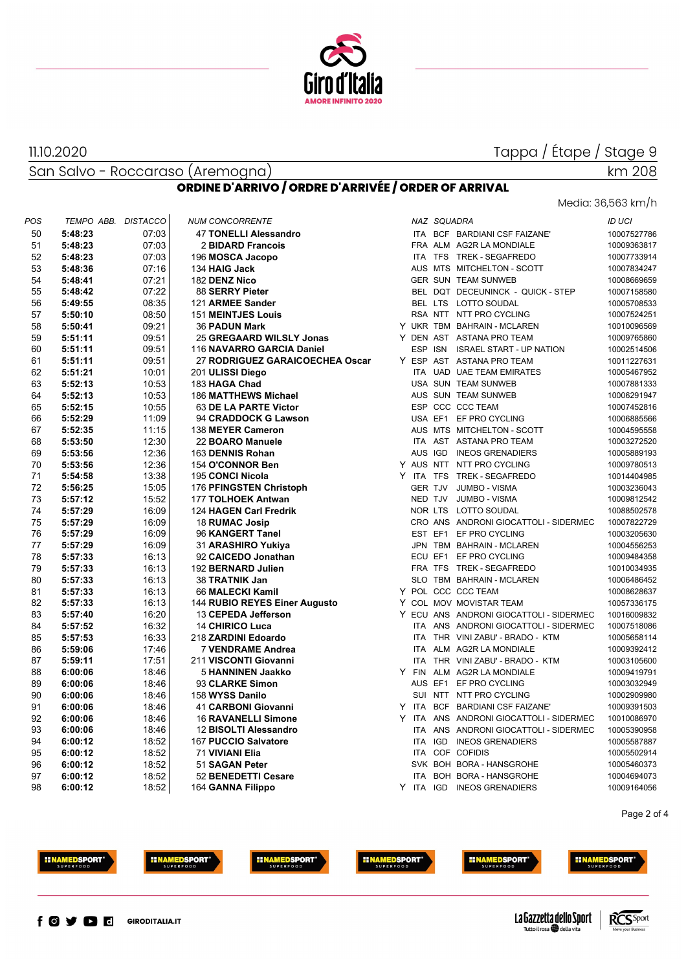

Media: 36,563 km/h

San Salvo - Roccaraso (Aremogna)

11.10.2020

# km 208

|  |  | ORDINE D'ARRIVO / ORDRE D'ARRIVÉE / ORDER OF ARRIVAL |
|--|--|------------------------------------------------------|
|--|--|------------------------------------------------------|

| POS | TEMPO ABB. | <b>DISTACCO</b> | <b>NUM CONCORRENTE</b>          |            | NAZ SQUADRA |                                         | <b>ID UCI</b> |
|-----|------------|-----------------|---------------------------------|------------|-------------|-----------------------------------------|---------------|
| 50  | 5:48:23    | 07:03           | <b>47 TONELLI Alessandro</b>    |            |             | ITA BCF BARDIANI CSF FAIZANE'           | 10007527786   |
| 51  | 5:48:23    | 07:03           | 2 BIDARD Francois               |            |             | FRA ALM AG2R LA MONDIALE                | 10009363817   |
| 52  | 5:48:23    | 07:03           | 196 MOSCA Jacopo                |            |             | ITA TFS TREK - SEGAFREDO                | 10007733914   |
| 53  | 5:48:36    | 07:16           | 134 HAIG Jack                   |            |             | AUS MTS MITCHELTON - SCOTT              | 10007834247   |
| 54  | 5:48:41    | 07:21           | 182 DENZ Nico                   |            |             | GER SUN TEAM SUNWEB                     | 10008669659   |
| 55  | 5:48:42    | 07:22           | 88 SERRY Pieter                 |            |             | BEL DQT DECEUNINCK - QUICK - STEP       | 10007158580   |
| 56  | 5:49:55    | 08:35           | 121 ARMEE Sander                |            |             | BEL LTS LOTTO SOUDAL                    | 10005708533   |
| 57  | 5:50:10    | 08:50           | <b>151 MEINTJES Louis</b>       |            |             | RSA NTT NTT PRO CYCLING                 | 10007524251   |
| 58  | 5:50:41    | 09:21           | <b>36 PADUN Mark</b>            |            |             | Y UKR TBM BAHRAIN - MCLAREN             | 10010096569   |
| 59  | 5:51:11    | 09:51           | 25 GREGAARD WILSLY Jonas        |            |             | Y DEN AST ASTANA PRO TEAM               | 10009765860   |
| 60  | 5:51:11    | 09:51           | 116 NAVARRO GARCIA Daniel       |            |             | ESP ISN ISRAEL START - UP NATION        | 10002514506   |
| 61  | 5:51:11    | 09:51           | 27 RODRIGUEZ GARAICOECHEA Oscar |            |             | Y ESP AST ASTANA PRO TEAM               | 10011227631   |
| 62  | 5:51:21    | 10:01           | 201 ULISSI Diego                |            |             | ITA UAD UAE TEAM EMIRATES               | 10005467952   |
| 63  | 5:52:13    | 10:53           | 183 HAGA Chad                   |            |             | USA SUN TEAM SUNWEB                     | 10007881333   |
| 64  | 5:52:13    | 10:53           | <b>186 MATTHEWS Michael</b>     |            |             | AUS SUN TEAM SUNWEB                     | 10006291947   |
| 65  | 5:52:15    | 10:55           | 63 DE LA PARTE Victor           |            |             | ESP CCC CCC TEAM                        | 10007452816   |
| 66  | 5:52:29    | 11:09           | 94 CRADDOCK G Lawson            |            |             | USA EF1 EF PRO CYCLING                  | 10006885566   |
| 67  | 5:52:35    | 11:15           | 138 MEYER Cameron               |            |             | AUS MTS MITCHELTON - SCOTT              | 10004595558   |
| 68  | 5:53:50    | 12:30           | 22 BOARO Manuele                |            |             | ITA AST ASTANA PRO TEAM                 | 10003272520   |
| 69  | 5:53:56    | 12:36           | 163 DENNIS Rohan                |            |             | AUS IGD INEOS GRENADIERS                | 10005889193   |
| 70  | 5:53:56    | 12:36           | 154 O'CONNOR Ben                |            |             | Y AUS NTT NTT PRO CYCLING               | 10009780513   |
| 71  | 5:54:58    | 13:38           | 195 CONCI Nicola                |            |             | Y ITA TFS TREK-SEGAFREDO                | 10014404985   |
| 72  | 5:56:25    | 15:05           | 176 PFINGSTEN Christoph         |            | GER TJV     | JUMBO - VISMA                           | 10003236043   |
| 73  | 5:57:12    | 15:52           | 177 TOLHOEK Antwan              |            | NED TJV     | JUMBO - VISMA                           | 10009812542   |
| 74  | 5:57:29    | 16:09           | 124 HAGEN Carl Fredrik          |            |             | NOR LTS LOTTO SOUDAL                    | 10088502578   |
| 75  | 5:57:29    | 16:09           | 18 RUMAC Josip                  |            |             | CRO ANS ANDRONI GIOCATTOLI - SIDERMEC   | 10007822729   |
| 76  | 5:57:29    | 16:09           | 96 KANGERT Tanel                |            |             | EST EF1 EF PRO CYCLING                  | 10003205630   |
| 77  | 5:57:29    | 16:09           | 31 ARASHIRO Yukiya              |            |             | JPN TBM BAHRAIN - MCLAREN               | 10004556253   |
| 78  | 5:57:33    | 16:13           | 92 CAICEDO Jonathan             |            |             | ECU EF1 EF PRO CYCLING                  | 10009484358   |
| 79  | 5:57:33    | 16:13           | 192 BERNARD Julien              |            |             | FRA TFS TREK - SEGAFREDO                | 10010034935   |
| 80  | 5:57:33    | 16:13           | 38 TRATNIK Jan                  |            |             | SLO TBM BAHRAIN - MCLAREN               | 10006486452   |
| 81  | 5:57:33    | 16:13           | 66 MALECKI Kamil                |            |             | Y POL CCC CCC TEAM                      | 10008628637   |
| 82  | 5:57:33    | 16:13           | 144 RUBIO REYES Einer Augusto   |            |             | Y COL MOV MOVISTAR TEAM                 | 10057336175   |
| 83  | 5:57:40    | 16:20           | 13 CEPEDA Jefferson             |            |             | Y ECU ANS ANDRONI GIOCATTOLI - SIDERMEC | 10016009832   |
| 84  | 5:57:52    | 16:32           | <b>14 CHIRICO Luca</b>          |            |             | ITA ANS ANDRONI GIOCATTOLI - SIDERMEC   | 10007518086   |
| 85  | 5:57:53    | 16:33           | 218 ZARDINI Edoardo             |            |             | ITA THR VINI ZABU' - BRADO - KTM        | 10005658114   |
| 86  | 5:59:06    | 17:46           | <b>7 VENDRAME Andrea</b>        |            |             | ITA ALM AG2R LA MONDIALE                | 10009392412   |
| 87  | 5:59:11    | 17:51           | 211 VISCONTI Giovanni           | <b>ITA</b> |             | THR VINI ZABU' - BRADO - KTM            | 10003105600   |
| 88  | 6:00:06    | 18:46           | <b>5 HANNINEN Jaakko</b>        |            |             | Y FIN ALM AG2R LA MONDIALE              | 10009419791   |
| 89  | 6:00:06    | 18:46           | 93 CLARKE Simon                 |            |             | AUS EF1 EF PRO CYCLING                  | 10003032949   |
| 90  | 6:00:06    | 18:46           | 158 WYSS Danilo                 |            |             | SUI NTT NTT PRO CYCLING                 | 10002909980   |
| 91  | 6:00:06    | 18:46           | 41 CARBONI Giovanni             | Y ITA      |             | BCF BARDIANI CSF FAIZANE'               | 10009391503   |
| 92  | 6:00:06    | 18:46           | <b>16 RAVANELLI Simone</b>      |            |             | Y ITA ANS ANDRONI GIOCATTOLI - SIDERMEC | 10010086970   |
| 93  | 6:00:06    | 18:46           | 12 BISOLTI Alessandro           |            |             | ITA ANS ANDRONI GIOCATTOLI - SIDERMEC   | 10005390958   |
| 94  | 6:00:12    | 18:52           | 167 PUCCIO Salvatore            |            | ITA IGD     | <b>INEOS GRENADIERS</b>                 | 10005587887   |
| 95  | 6:00:12    | 18:52           | 71 VIVIANI Elia                 |            |             | ITA COF COFIDIS                         | 10005502914   |
| 96  | 6:00:12    | 18:52           | 51 SAGAN Peter                  |            |             | SVK BOH BORA - HANSGROHE                | 10005460373   |
| 97  | 6:00:12    | 18:52           | 52 BENEDETTI Cesare             |            |             | ITA BOH BORA - HANSGROHE                | 10004694073   |
| 98  | 6:00:12    | 18:52           | 164 GANNA Filippo               |            |             | Y ITA IGD INEOS GRENADIERS              | 10009164056   |

Page 2 of 4



















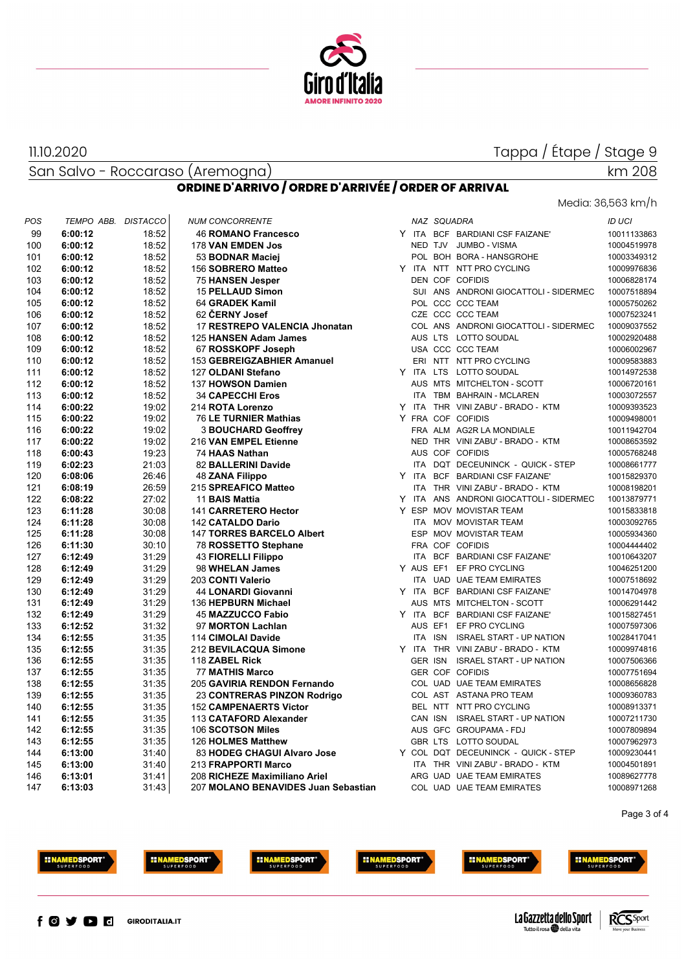

San Salvo - Roccaraso (Aremogna)

11.10.2020

# Media: 36,563 km/h

km 208

#### **ORDINE D'ARRIVO / ORDRE D'ARRIVÉE / ORDER OF ARRIVAL**

| POS | TEMPO ABB. DISTACCO |       | <b>NUM CONCORRENTE</b>              |  | NAZ SQUADRA    |                                         | <b>ID UCI</b> |
|-----|---------------------|-------|-------------------------------------|--|----------------|-----------------------------------------|---------------|
| 99  | 6:00:12             | 18:52 | <b>46 ROMANO Francesco</b>          |  |                | Y ITA BCF BARDIANI CSF FAIZANE'         | 10011133863   |
| 100 | 6:00:12             | 18:52 | 178 VAN EMDEN Jos                   |  |                | NED TJV JUMBO - VISMA                   | 10004519978   |
| 101 | 6:00:12             | 18:52 | 53 BODNAR Maciej                    |  |                | POL BOH BORA - HANSGROHE                | 10003349312   |
| 102 | 6:00:12             | 18:52 | 156 SOBRERO Matteo                  |  |                | Y ITA NTT NTT PRO CYCLING               | 10009976836   |
| 103 | 6:00:12             | 18:52 | 75 HANSEN Jesper                    |  |                | DEN COF COFIDIS                         | 10006828174   |
| 104 | 6:00:12             | 18:52 | <b>15 PELLAUD Simon</b>             |  |                | SUI ANS ANDRONI GIOCATTOLI - SIDERMEC   | 10007518894   |
| 105 | 6:00:12             | 18:52 | 64 GRADEK Kamil                     |  |                | POL CCC CCC TEAM                        | 10005750262   |
| 106 | 6:00:12             | 18:52 | 62 ČERNY Josef                      |  |                | CZE CCC CCC TEAM                        | 10007523241   |
| 107 | 6:00:12             | 18:52 | 17 RESTREPO VALENCIA Jhonatan       |  |                | COL ANS ANDRONI GIOCATTOLI - SIDERMEC   | 10009037552   |
| 108 | 6:00:12             | 18:52 | 125 HANSEN Adam James               |  |                | AUS LTS LOTTO SOUDAL                    | 10002920488   |
| 109 | 6:00:12             | 18:52 | 67 ROSSKOPF Joseph                  |  |                | USA CCC CCC TEAM                        | 10006002967   |
| 110 | 6:00:12             | 18:52 | 153 GEBREIGZABHIER Amanuel          |  |                | ERI NTT NTT PRO CYCLING                 | 10009583883   |
| 111 | 6:00:12             | 18:52 | 127 OLDANI Stefano                  |  |                | Y ITA LTS LOTTO SOUDAL                  | 10014972538   |
| 112 | 6:00:12             | 18:52 | 137 HOWSON Damien                   |  |                | AUS MTS MITCHELTON - SCOTT              | 10006720161   |
| 113 | 6:00:12             | 18:52 | <b>34 CAPECCHI Eros</b>             |  |                | ITA TBM BAHRAIN - MCLAREN               | 10003072557   |
| 114 | 6:00:22             | 19:02 | 214 ROTA Lorenzo                    |  |                | Y ITA THR VINI ZABU' - BRADO - KTM      | 10009393523   |
| 115 | 6:00:22             | 19:02 | 76 LE TURNIER Mathias               |  |                | Y FRA COF COFIDIS                       | 10009498001   |
| 116 | 6:00:22             | 19:02 | <b>3 BOUCHARD Geoffrey</b>          |  |                | FRA ALM AG2R LA MONDIALE                | 10011942704   |
| 117 | 6:00:22             | 19:02 | 216 VAN EMPEL Etienne               |  |                | NED THR VINI ZABU' - BRADO - KTM        | 10008653592   |
| 118 | 6:00:43             | 19:23 | 74 HAAS Nathan                      |  |                | AUS COF COFIDIS                         | 10005768248   |
| 119 | 6:02:23             | 21:03 | 82 BALLERINI Davide                 |  |                | ITA DQT DECEUNINCK - QUICK - STEP       | 10008661777   |
| 120 | 6:08:06             | 26:46 | <b>48 ZANA Filippo</b>              |  |                | Y ITA BCF BARDIANI CSF FAIZANE'         | 10015829370   |
| 121 | 6:08:19             | 26:59 | 215 SPREAFICO Matteo                |  |                | ITA THR VINI ZABU' - BRADO - KTM        | 10008198201   |
| 122 | 6:08:22             | 27:02 | 11 BAIS Mattia                      |  |                | Y ITA ANS ANDRONI GIOCATTOLI - SIDERMEC | 10013879771   |
| 123 | 6:11:28             | 30:08 | 141 CARRETERO Hector                |  |                | Y ESP MOV MOVISTAR TEAM                 | 10015833818   |
| 124 | 6:11:28             | 30:08 | 142 CATALDO Dario                   |  |                | ITA MOV MOVISTAR TEAM                   | 10003092765   |
| 125 | 6:11:28             | 30:08 | <b>147 TORRES BARCELO Albert</b>    |  |                | ESP MOV MOVISTAR TEAM                   | 10005934360   |
| 126 | 6:11:30             | 30:10 | 78 ROSSETTO Stephane                |  |                | FRA COF COFIDIS                         | 10004444402   |
| 127 | 6:12:49             | 31:29 | <b>43 FIORELLI Filippo</b>          |  |                | ITA BCF BARDIANI CSF FAIZANE'           | 10010643207   |
| 128 | 6:12:49             | 31:29 | 98 WHELAN James                     |  |                | Y AUS EF1 EF PRO CYCLING                | 10046251200   |
| 129 | 6:12:49             | 31:29 | 203 CONTI Valerio                   |  |                | ITA UAD UAE TEAM EMIRATES               | 10007518692   |
| 130 | 6:12:49             | 31:29 | 44 LONARDI Giovanni                 |  |                | Y ITA BCF BARDIANI CSF FAIZANE'         | 10014704978   |
| 131 | 6:12:49             | 31:29 | 136 HEPBURN Michael                 |  |                | AUS MTS MITCHELTON - SCOTT              | 10006291442   |
| 132 | 6:12:49             | 31:29 | 45 MAZZUCCO Fabio                   |  |                | Y ITA BCF BARDIANI CSF FAIZANE'         | 10015827451   |
| 133 | 6:12:52             | 31:32 | 97 MORTON Lachlan                   |  |                | AUS EF1 EF PRO CYCLING                  | 10007597306   |
| 134 | 6:12:55             | 31:35 | 114 CIMOLAI Davide                  |  |                | ITA ISN ISRAEL START - UP NATION        | 10028417041   |
| 135 | 6:12:55             | 31:35 | 212 BEVILACQUA Simone               |  |                | Y ITA THR VINI ZABU' - BRADO - KTM      | 10009974816   |
| 136 | 6:12:55             | 31:35 | 118 ZABEL Rick                      |  | <b>GER ISN</b> | <b>ISRAEL START - UP NATION</b>         | 10007506366   |
| 137 | 6:12:55             | 31:35 | <b>77 MATHIS Marco</b>              |  |                | <b>GER COF COFIDIS</b>                  | 10007751694   |
| 138 | 6:12:55             | 31:35 | 205 GAVIRIA RENDON Fernando         |  |                | COL UAD UAE TEAM EMIRATES               | 10008656828   |
| 139 | 6:12:55             | 31:35 | 23 CONTRERAS PINZON Rodrigo         |  |                | COL AST ASTANA PRO TEAM                 | 10009360783   |
| 140 | 6:12:55             | 31:35 | <b>152 CAMPENAERTS Victor</b>       |  |                | BEL NTT NTT PRO CYCLING                 | 10008913371   |
| 141 | 6:12:55             | 31:35 | 113 CATAFORD Alexander              |  |                | CAN ISN ISRAEL START - UP NATION        | 10007211730   |
| 142 | 6:12:55             | 31:35 | 106 SCOTSON Miles                   |  |                | AUS GFC GROUPAMA - FDJ                  | 10007809894   |
| 143 | 6:12:55             | 31:35 | 126 HOLMES Matthew                  |  |                | GBR LTS LOTTO SOUDAL                    | 10007962973   |
| 144 | 6:13:00             | 31:40 | 83 HODEG CHAGUI Alvaro Jose         |  |                | Y COL DQT DECEUNINCK - QUICK - STEP     | 10009230441   |
| 145 | 6:13:00             | 31:40 | 213 FRAPPORTI Marco                 |  |                | ITA THR VINI ZABU' - BRADO - KTM        | 10004501891   |
| 146 | 6:13:01             | 31:41 | 208 RICHEZE Maximiliano Ariel       |  |                | ARG UAD UAE TEAM EMIRATES               | 10089627778   |
| 147 | 6:13:03             | 31:43 | 207 MOLANO BENAVIDES Juan Sebastian |  |                | COL UAD UAE TEAM EMIRATES               | 10008971268   |

Page 3 of 4







**EINAMEDSPORT**